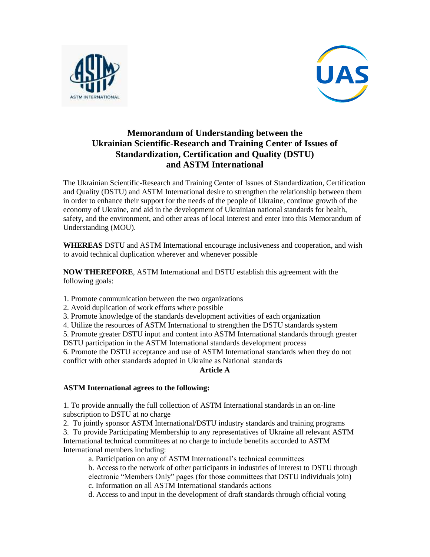



# **Memorandum of Understanding between the Ukrainian Scientific-Research and Training Center of Issues of Standardization, Certification and Quality (DSTU) and ASTM International**

The Ukrainian Scientific-Research and Training Center of Issues of Standardization, Certification and Quality (DSTU) and ASTM International desire to strengthen the relationship between them in order to enhance their support for the needs of the people of Ukraine, continue growth of the economy of Ukraine, and aid in the development of Ukrainian national standards for health, safety, and the environment, and other areas of local interest and enter into this Memorandum of Understanding (MOU).

**WHEREAS** DSTU and ASTM International encourage inclusiveness and cooperation, and wish to avoid technical duplication wherever and whenever possible

**NOW THEREFORE**, ASTM International and DSTU establish this agreement with the following goals:

- 1. Promote communication between the two organizations
- 2. Avoid duplication of work efforts where possible
- 3. Promote knowledge of the standards development activities of each organization

4. Utilize the resources of ASTM International to strengthen the DSTU standards system

5. Promote greater DSTU input and content into ASTM International standards through greater

DSTU participation in the ASTM International standards development process

6. Promote the DSTU acceptance and use of ASTM International standards when they do not conflict with other standards adopted in Ukraine as National standards

# **Article A**

# **ASTM International agrees to the following:**

1. To provide annually the full collection of ASTM International standards in an on-line subscription to DSTU at no charge

2. To jointly sponsor ASTM International/DSTU industry standards and training programs 3. To provide Participating Membership to any representatives of Ukraine all relevant ASTM International technical committees at no charge to include benefits accorded to ASTM International members including:

a. Participation on any of ASTM International's technical committees

b. Access to the network of other participants in industries of interest to DSTU through electronic "Members Only" pages (for those committees that DSTU individuals join) c. Information on all ASTM International standards actions

d. Access to and input in the development of draft standards through official voting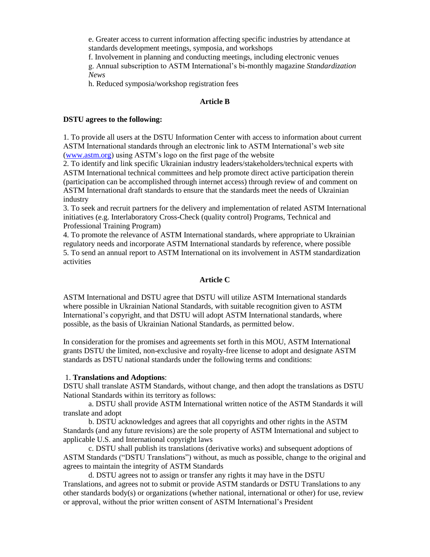e. Greater access to current information affecting specific industries by attendance at standards development meetings, symposia, and workshops

f. Involvement in planning and conducting meetings, including electronic venues

g. Annual subscription to ASTM International's bi-monthly magazine *Standardization News*

h. Reduced symposia/workshop registration fees

#### **Article B**

#### **DSTU agrees to the following:**

1. To provide all users at the DSTU Information Center with access to information about current ASTM International standards through an electronic link to ASTM International's web site [\(www.astm.org\)](http://www.astm.org/) using ASTM's logo on the first page of the website

2. To identify and link specific Ukrainian industry leaders/stakeholders/technical experts with ASTM International technical committees and help promote direct active participation therein (participation can be accomplished through internet access) through review of and comment on ASTM International draft standards to ensure that the standards meet the needs of Ukrainian industry

3. To seek and recruit partners for the delivery and implementation of related ASTM International initiatives (e.g. Interlaboratory Cross-Check (quality control) Programs, Technical and Professional Training Program)

4. To promote the relevance of ASTM International standards, where appropriate to Ukrainian regulatory needs and incorporate ASTM International standards by reference, where possible 5. To send an annual report to ASTM International on its involvement in ASTM standardization activities

### **Article C**

ASTM International and DSTU agree that DSTU will utilize ASTM International standards where possible in Ukrainian National Standards, with suitable recognition given to ASTM International's copyright, and that DSTU will adopt ASTM International standards, where possible, as the basis of Ukrainian National Standards, as permitted below.

In consideration for the promises and agreements set forth in this MOU, ASTM International grants DSTU the limited, non-exclusive and royalty-free license to adopt and designate ASTM standards as DSTU national standards under the following terms and conditions:

# 1. **Translations and Adoptions**:

DSTU shall translate ASTM Standards, without change, and then adopt the translations as DSTU National Standards within its territory as follows:

a. DSTU shall provide ASTM International written notice of the ASTM Standards it will translate and adopt

b. DSTU acknowledges and agrees that all copyrights and other rights in the ASTM Standards (and any future revisions) are the sole property of ASTM International and subject to applicable U.S. and International copyright laws

c. DSTU shall publish its translations (derivative works) and subsequent adoptions of ASTM Standards ("DSTU Translations") without, as much as possible, change to the original and agrees to maintain the integrity of ASTM Standards

d. DSTU agrees not to assign or transfer any rights it may have in the DSTU Translations, and agrees not to submit or provide ASTM standards or DSTU Translations to any other standards body(s) or organizations (whether national, international or other) for use, review or approval, without the prior written consent of ASTM International's President